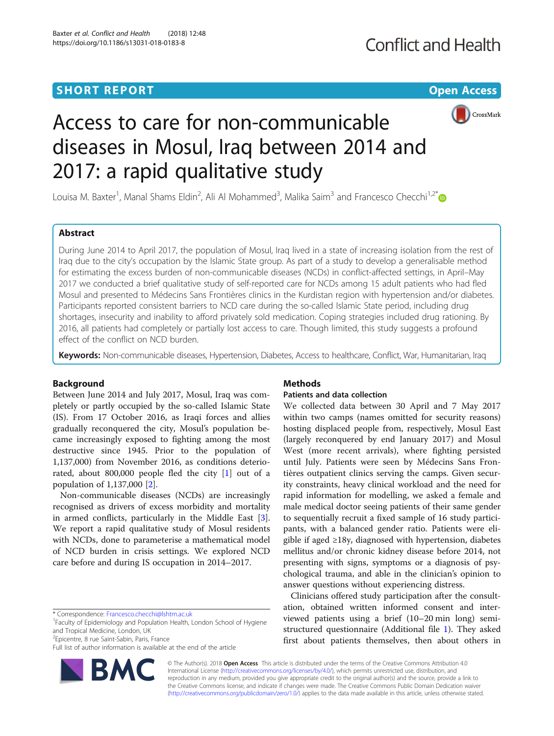## **SHORT REPORT SHORT CONSUMING THE CONSUMING THE CONSUMING THE CONSUMING THE CONSUMING THE CONSUMING THE CONSUMING THE CONSUMING THE CONSUMING THE CONSUMING THE CONSUMING THE CONSUMING THE CONSUMING THE CONSUMING THE CONS**



# Access to care for non-communicable diseases in Mosul, Iraq between 2014 and 2017: a rapid qualitative study

Louisa M. Baxter<sup>1</sup>, Manal Shams Eldin<sup>2</sup>, Ali Al Mohammed<sup>3</sup>, Malika Saim<sup>3</sup> and Francesco Checchi<sup>1,2[\\*](http://orcid.org/0000-0001-9030-5382)</sup>

## Abstract

During June 2014 to April 2017, the population of Mosul, Iraq lived in a state of increasing isolation from the rest of Iraq due to the city's occupation by the Islamic State group. As part of a study to develop a generalisable method for estimating the excess burden of non-communicable diseases (NCDs) in conflict-affected settings, in April–May 2017 we conducted a brief qualitative study of self-reported care for NCDs among 15 adult patients who had fled Mosul and presented to Médecins Sans Frontières clinics in the Kurdistan region with hypertension and/or diabetes. Participants reported consistent barriers to NCD care during the so-called Islamic State period, including drug shortages, insecurity and inability to afford privately sold medication. Coping strategies included drug rationing. By 2016, all patients had completely or partially lost access to care. Though limited, this study suggests a profound effect of the conflict on NCD burden.

Keywords: Non-communicable diseases, Hypertension, Diabetes, Access to healthcare, Conflict, War, Humanitarian, Iraq

## Background

Between June 2014 and July 2017, Mosul, Iraq was completely or partly occupied by the so-called Islamic State (IS). From 17 October 2016, as Iraqi forces and allies gradually reconquered the city, Mosul's population became increasingly exposed to fighting among the most destructive since 1945. Prior to the population of 1,137,000) from November 2016, as conditions deteriorated, about 800,000 people fled the city [[1\]](#page-3-0) out of a population of 1,137,000 [\[2](#page-3-0)].

Non-communicable diseases (NCDs) are increasingly recognised as drivers of excess morbidity and mortality in armed conflicts, particularly in the Middle East [\[3](#page-3-0)]. We report a rapid qualitative study of Mosul residents with NCDs, done to parameterise a mathematical model of NCD burden in crisis settings. We explored NCD care before and during IS occupation in 2014–2017.

<sup>2</sup> Epicentre, 8 rue Saint-Sabin, Paris, France

Full list of author information is available at the end of the article



## **Methods**

## Patients and data collection

We collected data between 30 April and 7 May 2017 within two camps (names omitted for security reasons) hosting displaced people from, respectively, Mosul East (largely reconquered by end January 2017) and Mosul West (more recent arrivals), where fighting persisted until July. Patients were seen by Médecins Sans Frontières outpatient clinics serving the camps. Given security constraints, heavy clinical workload and the need for rapid information for modelling, we asked a female and male medical doctor seeing patients of their same gender to sequentially recruit a fixed sample of 16 study participants, with a balanced gender ratio. Patients were eligible if aged ≥18y, diagnosed with hypertension, diabetes mellitus and/or chronic kidney disease before 2014, not presenting with signs, symptoms or a diagnosis of psychological trauma, and able in the clinician's opinion to answer questions without experiencing distress.

Clinicians offered study participation after the consultation, obtained written informed consent and interviewed patients using a brief (10–20 min long) semistructured questionnaire (Additional file [1\)](#page-3-0). They asked first about patients themselves, then about others in

© The Author(s). 2018 Open Access This article is distributed under the terms of the Creative Commons Attribution 4.0 International License [\(http://creativecommons.org/licenses/by/4.0/](http://creativecommons.org/licenses/by/4.0/)), which permits unrestricted use, distribution, and reproduction in any medium, provided you give appropriate credit to the original author(s) and the source, provide a link to the Creative Commons license, and indicate if changes were made. The Creative Commons Public Domain Dedication waiver [\(http://creativecommons.org/publicdomain/zero/1.0/](http://creativecommons.org/publicdomain/zero/1.0/)) applies to the data made available in this article, unless otherwise stated.

<sup>\*</sup> Correspondence: [Francesco.checchi@lshtm.ac.uk](mailto:Francesco.checchi@lshtm.ac.uk) <sup>1</sup>

<sup>&</sup>lt;sup>1</sup>Faculty of Epidemiology and Population Health, London School of Hygiene and Tropical Medicine, London, UK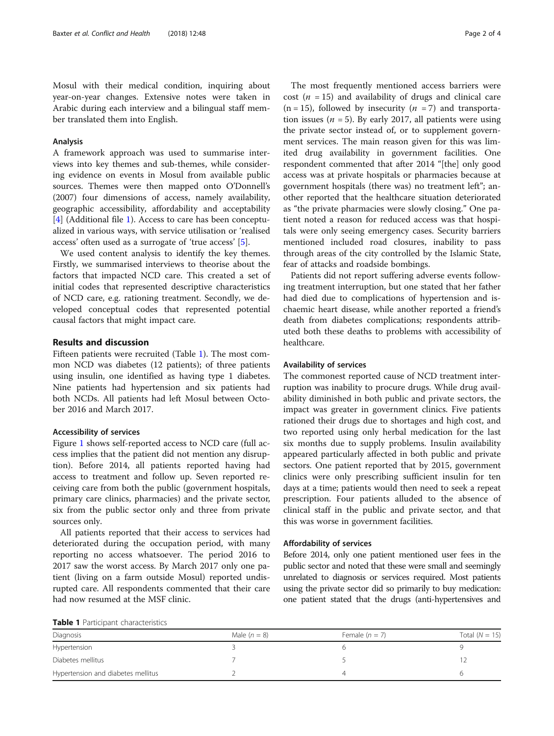Mosul with their medical condition, inquiring about year-on-year changes. Extensive notes were taken in Arabic during each interview and a bilingual staff member translated them into English.

## Analysis

A framework approach was used to summarise interviews into key themes and sub-themes, while considering evidence on events in Mosul from available public sources. Themes were then mapped onto O'Donnell's (2007) four dimensions of access, namely availability, geographic accessibility, affordability and acceptability [[4\]](#page-3-0) (Additional file [1\)](#page-3-0). Access to care has been conceptualized in various ways, with service utilisation or 'realised access' often used as a surrogate of 'true access' [[5\]](#page-3-0).

We used content analysis to identify the key themes. Firstly, we summarised interviews to theorise about the factors that impacted NCD care. This created a set of initial codes that represented descriptive characteristics of NCD care, e.g. rationing treatment. Secondly, we developed conceptual codes that represented potential causal factors that might impact care.

## Results and discussion

Fifteen patients were recruited (Table 1). The most common NCD was diabetes (12 patients); of three patients using insulin, one identified as having type 1 diabetes. Nine patients had hypertension and six patients had both NCDs. All patients had left Mosul between October 2016 and March 2017.

## Accessibility of services

Figure [1](#page-2-0) shows self-reported access to NCD care (full access implies that the patient did not mention any disruption). Before 2014, all patients reported having had access to treatment and follow up. Seven reported receiving care from both the public (government hospitals, primary care clinics, pharmacies) and the private sector, six from the public sector only and three from private sources only.

All patients reported that their access to services had deteriorated during the occupation period, with many reporting no access whatsoever. The period 2016 to 2017 saw the worst access. By March 2017 only one patient (living on a farm outside Mosul) reported undisrupted care. All respondents commented that their care had now resumed at the MSF clinic.

| Table 1 Participant characteristics |
|-------------------------------------|
|-------------------------------------|

The most frequently mentioned access barriers were cost ( $n = 15$ ) and availability of drugs and clinical care  $(n = 15)$ , followed by insecurity  $(n = 7)$  and transportation issues ( $n = 5$ ). By early 2017, all patients were using the private sector instead of, or to supplement government services. The main reason given for this was limited drug availability in government facilities. One respondent commented that after 2014 "[the] only good access was at private hospitals or pharmacies because at government hospitals (there was) no treatment left"; another reported that the healthcare situation deteriorated as "the private pharmacies were slowly closing." One patient noted a reason for reduced access was that hospitals were only seeing emergency cases. Security barriers mentioned included road closures, inability to pass through areas of the city controlled by the Islamic State, fear of attacks and roadside bombings.

Patients did not report suffering adverse events following treatment interruption, but one stated that her father had died due to complications of hypertension and ischaemic heart disease, while another reported a friend's death from diabetes complications; respondents attributed both these deaths to problems with accessibility of healthcare.

## Availability of services

The commonest reported cause of NCD treatment interruption was inability to procure drugs. While drug availability diminished in both public and private sectors, the impact was greater in government clinics. Five patients rationed their drugs due to shortages and high cost, and two reported using only herbal medication for the last six months due to supply problems. Insulin availability appeared particularly affected in both public and private sectors. One patient reported that by 2015, government clinics were only prescribing sufficient insulin for ten days at a time; patients would then need to seek a repeat prescription. Four patients alluded to the absence of clinical staff in the public and private sector, and that this was worse in government facilities.

## Affordability of services

Before 2014, only one patient mentioned user fees in the public sector and noted that these were small and seemingly unrelated to diagnosis or services required. Most patients using the private sector did so primarily to buy medication: one patient stated that the drugs (anti-hypertensives and

| Male $(n = 8)$ | Female $(n = 7)$ | Total ( $N = 15$ ) |  |
|----------------|------------------|--------------------|--|
|                |                  |                    |  |
|                |                  |                    |  |
|                |                  |                    |  |
|                |                  |                    |  |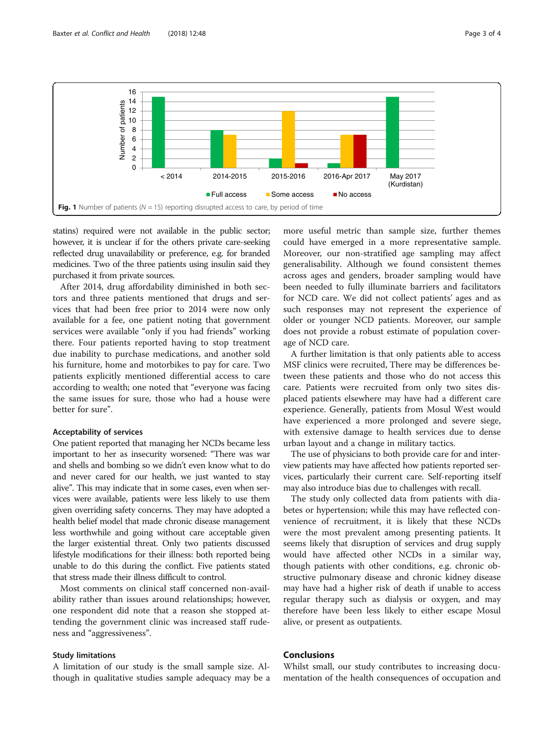<span id="page-2-0"></span>

statins) required were not available in the public sector; however, it is unclear if for the others private care-seeking reflected drug unavailability or preference, e.g. for branded medicines. Two of the three patients using insulin said they purchased it from private sources.

After 2014, drug affordability diminished in both sectors and three patients mentioned that drugs and services that had been free prior to 2014 were now only available for a fee, one patient noting that government services were available "only if you had friends" working there. Four patients reported having to stop treatment due inability to purchase medications, and another sold his furniture, home and motorbikes to pay for care. Two patients explicitly mentioned differential access to care according to wealth; one noted that "everyone was facing the same issues for sure, those who had a house were better for sure".

## Acceptability of services

One patient reported that managing her NCDs became less important to her as insecurity worsened: "There was war and shells and bombing so we didn't even know what to do and never cared for our health, we just wanted to stay alive". This may indicate that in some cases, even when services were available, patients were less likely to use them given overriding safety concerns. They may have adopted a health belief model that made chronic disease management less worthwhile and going without care acceptable given the larger existential threat. Only two patients discussed lifestyle modifications for their illness: both reported being unable to do this during the conflict. Five patients stated that stress made their illness difficult to control.

Most comments on clinical staff concerned non-availability rather than issues around relationships; however, one respondent did note that a reason she stopped attending the government clinic was increased staff rudeness and "aggressiveness".

## Study limitations

A limitation of our study is the small sample size. Although in qualitative studies sample adequacy may be a

more useful metric than sample size, further themes could have emerged in a more representative sample. Moreover, our non-stratified age sampling may affect generalisability. Although we found consistent themes across ages and genders, broader sampling would have been needed to fully illuminate barriers and facilitators for NCD care. We did not collect patients' ages and as such responses may not represent the experience of older or younger NCD patients. Moreover, our sample does not provide a robust estimate of population coverage of NCD care.

A further limitation is that only patients able to access MSF clinics were recruited, There may be differences between these patients and those who do not access this care. Patients were recruited from only two sites displaced patients elsewhere may have had a different care experience. Generally, patients from Mosul West would have experienced a more prolonged and severe siege, with extensive damage to health services due to dense urban layout and a change in military tactics.

The use of physicians to both provide care for and interview patients may have affected how patients reported services, particularly their current care. Self-reporting itself may also introduce bias due to challenges with recall.

The study only collected data from patients with diabetes or hypertension; while this may have reflected convenience of recruitment, it is likely that these NCDs were the most prevalent among presenting patients. It seems likely that disruption of services and drug supply would have affected other NCDs in a similar way, though patients with other conditions, e.g. chronic obstructive pulmonary disease and chronic kidney disease may have had a higher risk of death if unable to access regular therapy such as dialysis or oxygen, and may therefore have been less likely to either escape Mosul alive, or present as outpatients.

## Conclusions

Whilst small, our study contributes to increasing documentation of the health consequences of occupation and